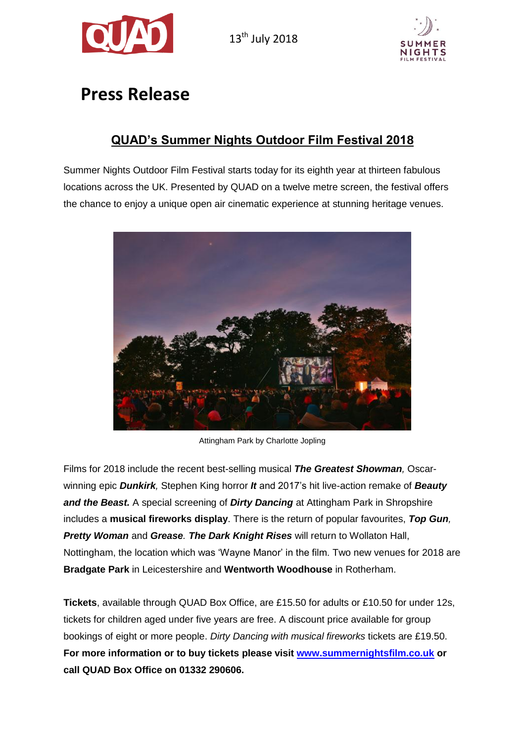



# **Press Release**

# **QUAD's Summer Nights Outdoor Film Festival 2018**

Summer Nights Outdoor Film Festival starts today for its eighth year at thirteen fabulous locations across the UK. Presented by QUAD on a twelve metre screen, the festival offers the chance to enjoy a unique open air cinematic experience at stunning heritage venues.



Attingham Park by Charlotte Jopling

Films for 2018 include the recent best-selling musical *The Greatest Showman,* Oscarwinning epic *Dunkirk,* Stephen King horror *It* and 2017's hit live-action remake of *Beauty and the Beast.* A special screening of *Dirty Dancing* at Attingham Park in Shropshire includes a **musical fireworks display**. There is the return of popular favourites, *Top Gun, Pretty Woman* and *Grease. The Dark Knight Rises* will return to Wollaton Hall, Nottingham, the location which was 'Wayne Manor' in the film. Two new venues for 2018 are **Bradgate Park** in Leicestershire and **Wentworth Woodhouse** in Rotherham.

**Tickets**, available through QUAD Box Office, are £15.50 for adults or £10.50 for under 12s, tickets for children aged under five years are free. A discount price available for group bookings of eight or more people. *Dirty Dancing with musical fireworks* tickets are £19.50. **For more information or to buy tickets please visit [www.summernightsfilm.co.uk](http://www.summernightsfilm.co.uk/) or call QUAD Box Office on 01332 290606.**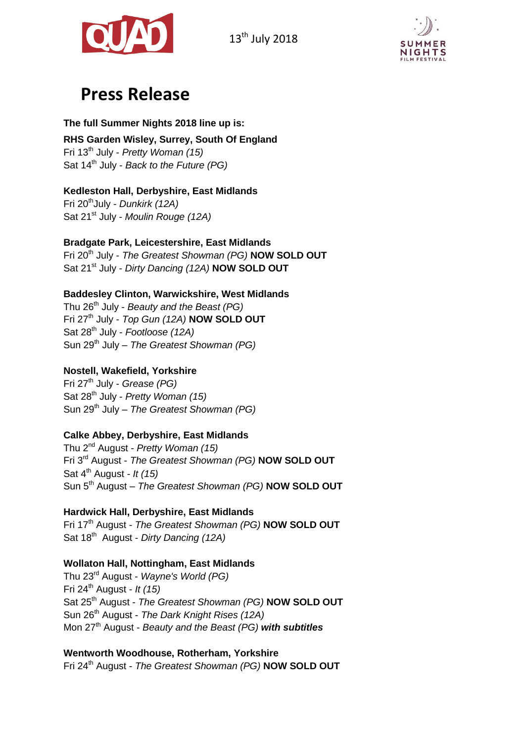



# **Press Release**

#### **The full Summer Nights 2018 line up is:**

**RHS Garden Wisley, Surrey, South Of England** Fri 13th July - *Pretty Woman (15)* Sat 14th July - *Back to the Future (PG)*

### **Kedleston Hall, Derbyshire, East Midlands**

Fri 20thJuly - *Dunkirk (12A)* Sat 21<sup>st</sup> July - *Moulin Rouge (12A)* 

#### **Bradgate Park, Leicestershire, East Midlands**

Fri 20th July - *The Greatest Showman (PG)* **NOW SOLD OUT** Sat 21<sup>st</sup> July - *Dirty Dancing (12A)* **NOW SOLD OUT** 

#### **Baddesley Clinton, Warwickshire, West Midlands**

Thu 26th July - *Beauty and the Beast (PG)* Fri 27th July - *Top Gun (12A)* **NOW SOLD OUT** Sat 28th July - *Footloose (12A)* Sun 29 th July – *The Greatest Showman (PG)*

### **Nostell, Wakefield, Yorkshire**

Fri 27th July - *Grease (PG)* Sat 28th July - *Pretty Woman (15)* Sun 29 th July – *The Greatest Showman (PG)*

#### **Calke Abbey, Derbyshire, East Midlands**

Thu 2nd August - *Pretty Woman (15)* Fri 3rd August - *The Greatest Showman (PG)* **NOW SOLD OUT** Sat 4th August *- It (15)* Sun 5<sup>th</sup> August - The Greatest Showman (PG) **NOW SOLD OUT** 

## **Hardwick Hall, Derbyshire, East Midlands**

Fri 17th August - *The Greatest Showman (PG)* **NOW SOLD OUT** Sat 18th August - *Dirty Dancing (12A)*

#### **Wollaton Hall, Nottingham, East Midlands**

Thu 23rd August - *Wayne's World (PG)* Fri 24th August - *It (15)* Sat 25th August - *The Greatest Showman (PG)* **NOW SOLD OUT** Sun 26th August - *The Dark Knight Rises (12A)* Mon 27<sup>th</sup> August - *Beauty and the Beast (PG)* with subtitles

#### **Wentworth Woodhouse, Rotherham, Yorkshire**

Fri 24th August - *The Greatest Showman (PG)* **NOW SOLD OUT**